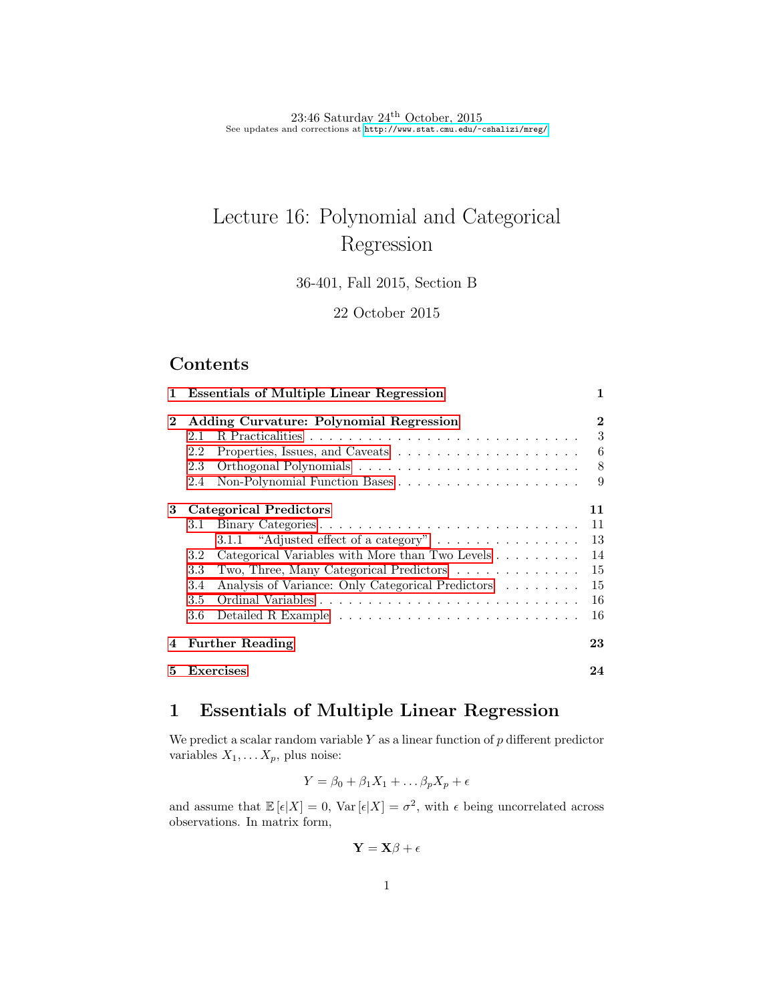$23:46$  Saturday  $24<sup>th</sup>$  October,  $2015$ See updates and corrections at <http://www.stat.cmu.edu/~cshalizi/mreg/>

# Lecture 16: Polynomial and Categorical Regression

36-401, Fall 2015, Section B

22 October 2015

# Contents

|                | 1 Essentials of Multiple Linear Regression |                                                                   |    |  |  |  |  |
|----------------|--------------------------------------------|-------------------------------------------------------------------|----|--|--|--|--|
| $\overline{2}$ | Adding Curvature: Polynomial Regression    | $\bf{2}$                                                          |    |  |  |  |  |
|                | 2.1                                        |                                                                   | 3  |  |  |  |  |
|                | 2.2                                        |                                                                   | 6  |  |  |  |  |
|                | 2.3                                        |                                                                   | 8  |  |  |  |  |
|                | 2.4                                        |                                                                   | 9  |  |  |  |  |
| 3              |                                            | <b>Categorical Predictors</b>                                     | 11 |  |  |  |  |
|                | 3.1                                        | Binary Categories                                                 | 11 |  |  |  |  |
|                |                                            | 3.1.1 "Adjusted effect of a category" $\dots \dots \dots \dots$   | 13 |  |  |  |  |
|                | 3.2                                        | Categorical Variables with More than Two Levels                   | 14 |  |  |  |  |
|                | 3.3                                        | Two, Three, Many Categorical Predictors $\dots \dots \dots \dots$ | 15 |  |  |  |  |
|                | 3.4                                        | Analysis of Variance: Only Categorical Predictors                 | 15 |  |  |  |  |
|                | 3.5                                        |                                                                   | 16 |  |  |  |  |
|                | 3.6                                        |                                                                   | 16 |  |  |  |  |
|                | 4 Further Reading                          |                                                                   |    |  |  |  |  |
| 5.             | Exercises                                  |                                                                   |    |  |  |  |  |

# <span id="page-0-0"></span>1 Essentials of Multiple Linear Regression

We predict a scalar random variable  $Y$  as a linear function of  $p$  different predictor variables  $X_1, \ldots X_p$ , plus noise:

$$
Y = \beta_0 + \beta_1 X_1 + \dots \beta_p X_p + \epsilon
$$

and assume that  $\mathbb{E}[\epsilon|X] = 0$ ,  $\text{Var}[\epsilon|X] = \sigma^2$ , with  $\epsilon$  being uncorrelated across observations. In matrix form,

$$
\mathbf{Y} = \mathbf{X}\beta + \epsilon
$$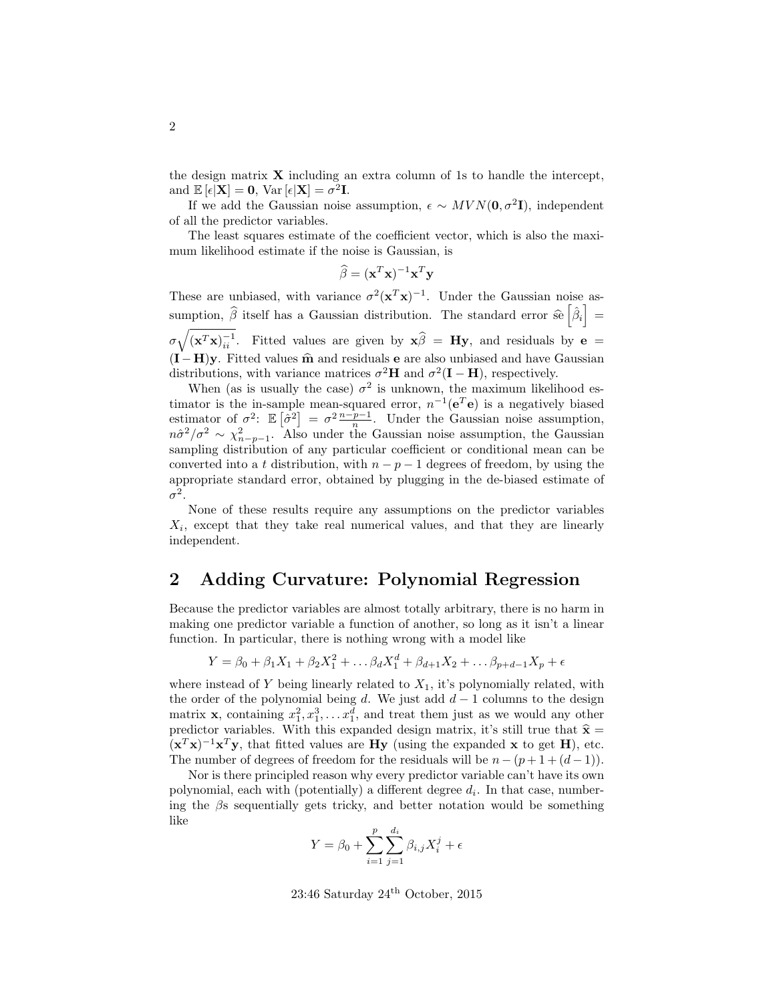the design matrix  $\bf{X}$  including an extra column of 1s to handle the intercept, and  $\mathbb{E}[\epsilon | \mathbf{X}] = \mathbf{0}$ , Var  $[\epsilon | \mathbf{X}] = \sigma^2 \mathbf{I}$ .

If we add the Gaussian noise assumption,  $\epsilon \sim MVN(0,\sigma^2I)$ , independent of all the predictor variables.

The least squares estimate of the coefficient vector, which is also the maximum likelihood estimate if the noise is Gaussian, is

$$
\widehat{\beta} = (\mathbf{x}^T \mathbf{x})^{-1} \mathbf{x}^T \mathbf{y}
$$

These are unbiased, with variance  $\sigma^2(\mathbf{x}^T\mathbf{x})^{-1}$ . Under the Gaussian noise assumption,  $\hat{\beta}$  itself has a Gaussian distribution. The standard error  $\hat{\mathcal{se}}\left[\hat{\beta}_i\right] =$  $\sigma \sqrt{(\mathbf{x}^T \mathbf{x})_{ii}^{-1}}$ . Fitted values are given by  $\mathbf{x}\hat{\beta} = \mathbf{H}\mathbf{y}$ , and residuals by  $\mathbf{e} =$  $(I-H)y$ . Fitted values  $\hat{m}$  and residuals e are also unbiased and have Gaussian distributions, with variance matrices  $\sigma^2 \mathbf{H}$  and  $\sigma^2(\mathbf{I} - \mathbf{H})$ , respectively.

When (as is usually the case)  $\sigma^2$  is unknown, the maximum likelihood estimator is the in-sample mean-squared error,  $n^{-1}(e^T e)$  is a negatively biased estimator of  $\sigma^2$ :  $\mathbb{E}[\hat{\sigma}^2] = \sigma^2 \frac{n-p-1}{n}$ . Under the Gaussian noise assumption,  $n\hat{\sigma}^2/\sigma^2 \sim \chi^2_{n-p-1}$ . Also under the Gaussian noise assumption, the Gaussian sampling distribution of any particular coefficient or conditional mean can be converted into a t distribution, with  $n - p - 1$  degrees of freedom, by using the appropriate standard error, obtained by plugging in the de-biased estimate of  $\sigma^2$ .

None of these results require any assumptions on the predictor variables  $X_i$ , except that they take real numerical values, and that they are linearly independent.

# <span id="page-1-0"></span>2 Adding Curvature: Polynomial Regression

Because the predictor variables are almost totally arbitrary, there is no harm in making one predictor variable a function of another, so long as it isn't a linear function. In particular, there is nothing wrong with a model like

$$
Y = \beta_0 + \beta_1 X_1 + \beta_2 X_1^2 + \dots + \beta_d X_1^d + \beta_{d+1} X_2 + \dots + \beta_{p+d-1} X_p + \epsilon
$$

where instead of Y being linearly related to  $X_1$ , it's polynomially related, with the order of the polynomial being d. We just add  $d-1$  columns to the design matrix **x**, containing  $x_1^2, x_1^3, \ldots, x_1^d$ , and treat them just as we would any other predictor variables. With this expanded design matrix, it's still true that  $\hat{\mathbf{x}} =$  $(\mathbf{x}^T \mathbf{x})^{-1} \mathbf{x}^T \mathbf{y}$ , that fitted values are **Hy** (using the expanded x to get **H**), etc. The number of degrees of freedom for the residuals will be  $n - (p + 1 + (d - 1))$ .

Nor is there principled reason why every predictor variable can't have its own polynomial, each with (potentially) a different degree  $d_i$ . In that case, numbering the  $\beta$ s sequentially gets tricky, and better notation would be something like

$$
Y = \beta_0 + \sum_{i=1}^{p} \sum_{j=1}^{d_i} \beta_{i,j} X_i^j + \epsilon
$$

23:46 Saturday 24th October, 2015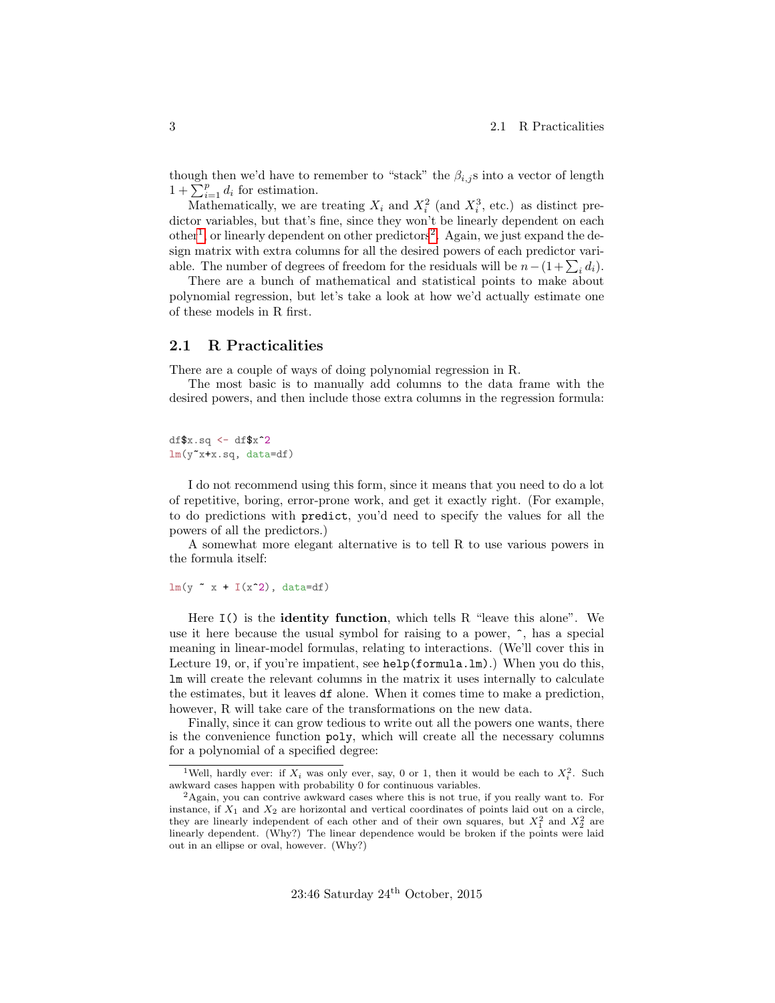though then we'd have to remember to "stack" the  $\beta_{i,j}$ s into a vector of length  $1 + \sum_{i=1}^{p} d_i$  for estimation.

Mathematically, we are treating  $X_i$  and  $X_i^2$  (and  $X_i^3$ , etc.) as distinct predictor variables, but that's fine, since they won't be linearly dependent on each other<sup>[1](#page-2-1)</sup>, or linearly dependent on other predictors<sup>[2](#page-2-2)</sup>. Again, we just expand the design matrix with extra columns for all the desired powers of each predictor variable. The number of degrees of freedom for the residuals will be  $n - (1 + \sum_i d_i)$ .

There are a bunch of mathematical and statistical points to make about polynomial regression, but let's take a look at how we'd actually estimate one of these models in R first.

#### <span id="page-2-0"></span>2.1 R Practicalities

There are a couple of ways of doing polynomial regression in R.

The most basic is to manually add columns to the data frame with the desired powers, and then include those extra columns in the regression formula:

 $df$  $x.sq$  <-  $df$  $x^2$ lm(y~x+x.sq, data=df)

I do not recommend using this form, since it means that you need to do a lot of repetitive, boring, error-prone work, and get it exactly right. (For example, to do predictions with predict, you'd need to specify the values for all the powers of all the predictors.)

A somewhat more elegant alternative is to tell R to use various powers in the formula itself:

 $lm(y \text{ x } + l(x \text{ '2}), data=df)$ 

Here  $I()$  is the **identity function**, which tells R "leave this alone". We use it here because the usual symbol for raising to a power,  $\hat{\ }$ , has a special meaning in linear-model formulas, relating to interactions. (We'll cover this in Lecture 19, or, if you're impatient, see help(formula.lm).) When you do this, lm will create the relevant columns in the matrix it uses internally to calculate the estimates, but it leaves df alone. When it comes time to make a prediction, however, R will take care of the transformations on the new data.

Finally, since it can grow tedious to write out all the powers one wants, there is the convenience function poly, which will create all the necessary columns for a polynomial of a specified degree:

<span id="page-2-1"></span><sup>&</sup>lt;sup>1</sup>Well, hardly ever: if  $X_i$  was only ever, say, 0 or 1, then it would be each to  $X_i^2$ . Such awkward cases happen with probability 0 for continuous variables.

<span id="page-2-2"></span><sup>2</sup>Again, you can contrive awkward cases where this is not true, if you really want to. For instance, if  $X_1$  and  $X_2$  are horizontal and vertical coordinates of points laid out on a circle, they are linearly independent of each other and of their own squares, but  $X_1^2$  and  $X_2^2$  are linearly dependent. (Why?) The linear dependence would be broken if the points were laid out in an ellipse or oval, however. (Why?)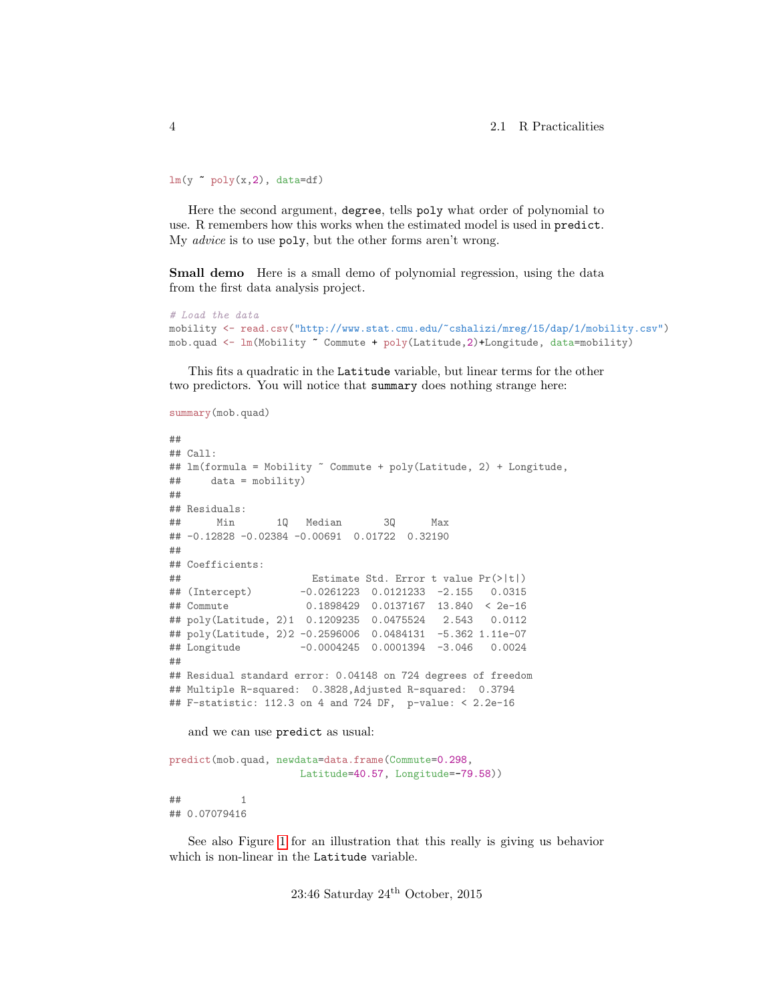$lm(y \text{ poly}(x,2), data=df)$ 

Here the second argument, degree, tells poly what order of polynomial to use. R remembers how this works when the estimated model is used in predict. My advice is to use poly, but the other forms aren't wrong.

Small demo Here is a small demo of polynomial regression, using the data from the first data analysis project.

```
# Load the data
mobility <- read.csv("http://www.stat.cmu.edu/~cshalizi/mreg/15/dap/1/mobility.csv")
mob.quad <- lm(Mobility ~ Commute + poly(Latitude,2)+Longitude, data=mobility)
```
This fits a quadratic in the Latitude variable, but linear terms for the other two predictors. You will notice that summary does nothing strange here:

```
summary(mob.quad)
##
## Call:
## lm(formula = Mobility ~ Commute + poly(Latitude, 2) + Longitude,
## data = mobility)
##
## Residuals:
## Min 1Q Median 3Q Max
## -0.12828 -0.02384 -0.00691 0.01722 0.32190
##
## Coefficients:
## Estimate Std. Error t value Pr(>|t|)
## (Intercept) -0.0261223 0.0121233 -2.155 0.0315
## Commute 0.1898429 0.0137167 13.840 < 2e-16
## poly(Latitude, 2)1 0.1209235 0.0475524 2.543 0.0112
## poly(Latitude, 2)2 -0.2596006 0.0484131 -5.362 1.11e-07
## Longitude -0.0004245 0.0001394 -3.046 0.0024
##
## Residual standard error: 0.04148 on 724 degrees of freedom
## Multiple R-squared: 0.3828,Adjusted R-squared: 0.3794
## F-statistic: 112.3 on 4 and 724 DF, p-value: < 2.2e-16
```
and we can use predict as usual:

```
predict(mob.quad, newdata=data.frame(Commute=0.298,
                    Latitude=40.57, Longitude=-79.58))
## 1
```
## 0.07079416

See also Figure [1](#page-4-0) for an illustration that this really is giving us behavior which is non-linear in the Latitude variable.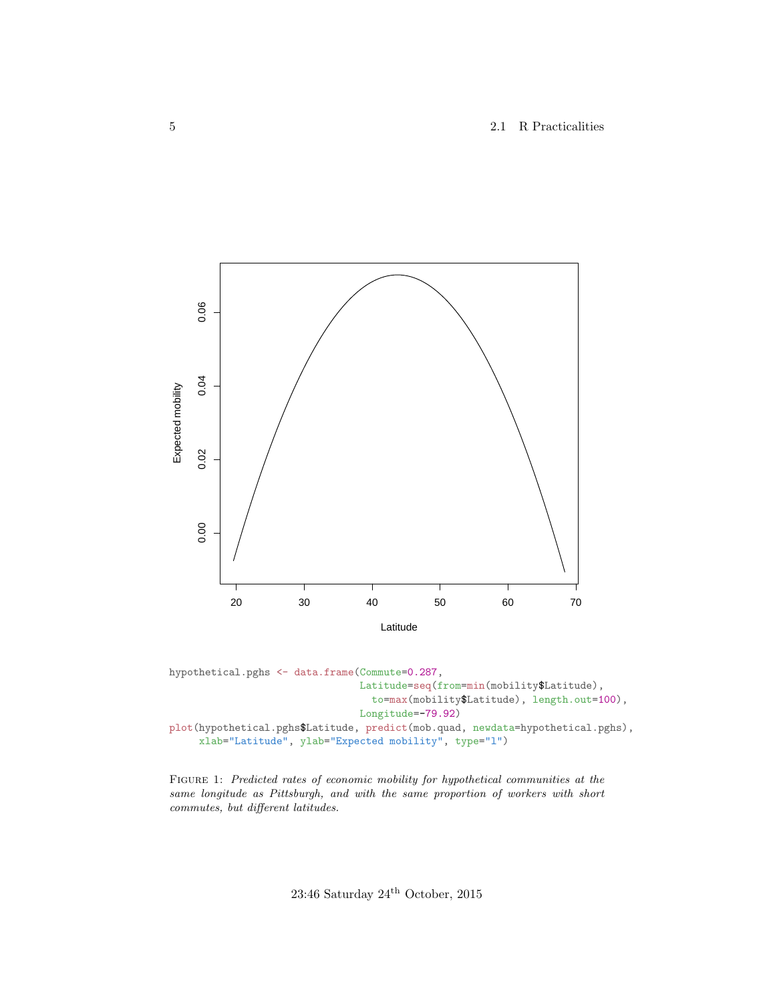5 2.1 R Practicalities

<span id="page-4-0"></span>

hypothetical.pghs <- data.frame(Commute=0.287, Latitude=seq(from=min(mobility\$Latitude), to=max(mobility\$Latitude), length.out=100), Longitude=-79.92) plot(hypothetical.pghs\$Latitude, predict(mob.quad, newdata=hypothetical.pghs), xlab="Latitude", ylab="Expected mobility", type="l")

FIGURE 1: Predicted rates of economic mobility for hypothetical communities at the same longitude as Pittsburgh, and with the same proportion of workers with short commutes, but different latitudes.

23:46 Saturday  $24^{\rm th}$  October, 2015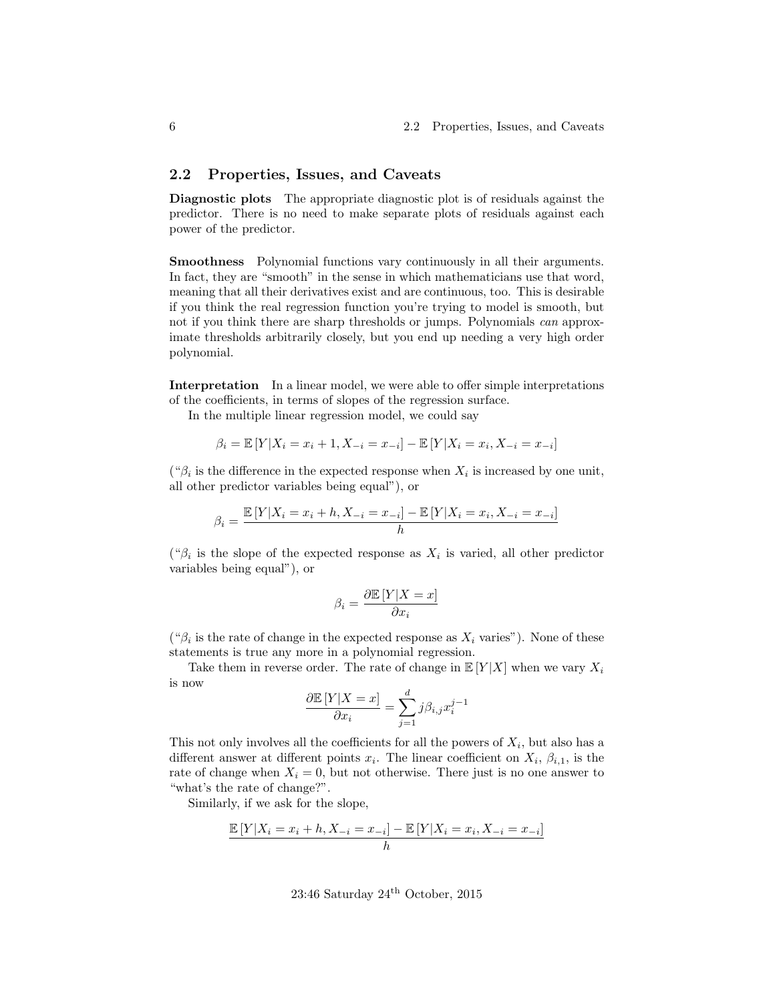#### <span id="page-5-0"></span>2.2 Properties, Issues, and Caveats

Diagnostic plots The appropriate diagnostic plot is of residuals against the predictor. There is no need to make separate plots of residuals against each power of the predictor.

Smoothness Polynomial functions vary continuously in all their arguments. In fact, they are "smooth" in the sense in which mathematicians use that word, meaning that all their derivatives exist and are continuous, too. This is desirable if you think the real regression function you're trying to model is smooth, but not if you think there are sharp thresholds or jumps. Polynomials *can* approximate thresholds arbitrarily closely, but you end up needing a very high order polynomial.

Interpretation In a linear model, we were able to offer simple interpretations of the coefficients, in terms of slopes of the regression surface.

In the multiple linear regression model, we could say

$$
\beta_i = \mathbb{E}[Y|X_i = x_i + 1, X_{-i} = x_{-i}] - \mathbb{E}[Y|X_i = x_i, X_{-i} = x_{-i}]
$$

(" $\beta_i$  is the difference in the expected response when  $X_i$  is increased by one unit, all other predictor variables being equal"), or

$$
\beta_i = \frac{\mathbb{E}[Y|X_i = x_i + h, X_{-i} = x_{-i}] - \mathbb{E}[Y|X_i = x_i, X_{-i} = x_{-i}]}{h}
$$

(" $\beta_i$  is the slope of the expected response as  $X_i$  is varied, all other predictor variables being equal"), or

$$
\beta_i = \frac{\partial \mathbb{E}[Y|X=x]}{\partial x_i}
$$

(" $\beta_i$  is the rate of change in the expected response as  $X_i$  varies"). None of these statements is true any more in a polynomial regression.

Take them in reverse order. The rate of change in  $\mathbb{E}[Y|X]$  when we vary  $X_i$ is now

$$
\frac{\partial \mathbb{E}\left[Y|X=x\right]}{\partial x_i} = \sum_{j=1}^d j\beta_{i,j} x_i^{j-1}
$$

This not only involves all the coefficients for all the powers of  $X_i$ , but also has a different answer at different points  $x_i$ . The linear coefficient on  $X_i$ ,  $\beta_{i,1}$ , is the rate of change when  $X_i = 0$ , but not otherwise. There just is no one answer to "what's the rate of change?".

Similarly, if we ask for the slope,

$$
\frac{\mathbb{E}[Y|X_i = x_i + h, X_{-i} = x_{-i}] - \mathbb{E}[Y|X_i = x_i, X_{-i} = x_{-i}]}{h}
$$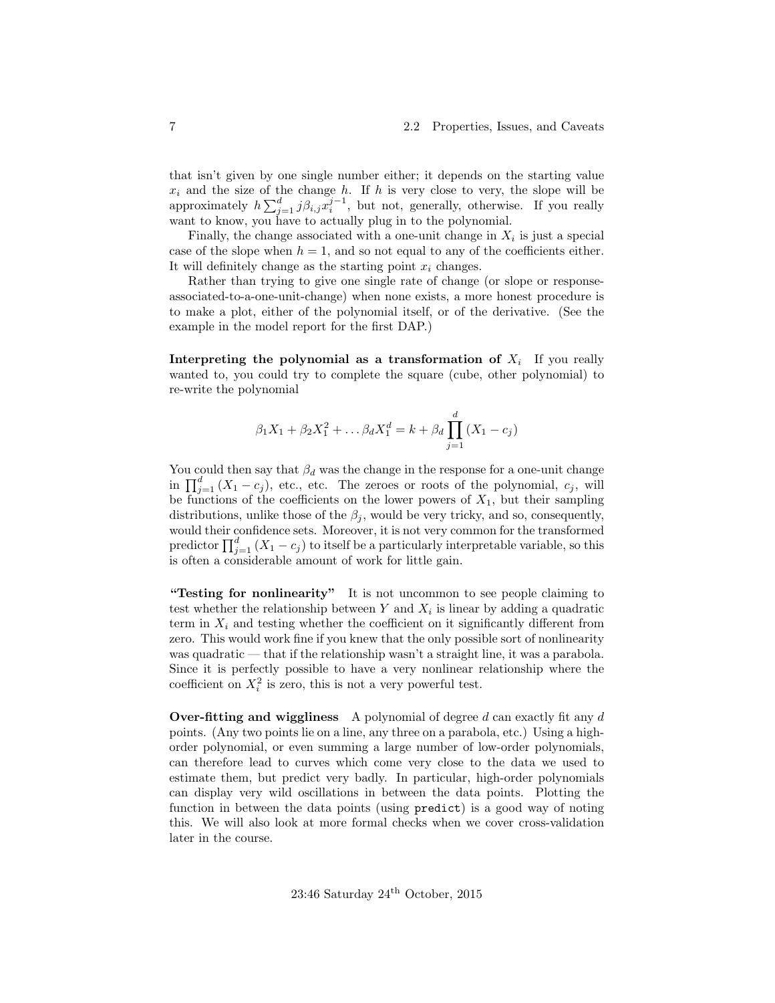that isn't given by one single number either; it depends on the starting value  $x_i$  and the size of the change h. If h is very close to very, the slope will be approximately  $h\sum_{j=1}^d j\beta_{i,j}x_i^{j-1}$ , but not, generally, otherwise. If you really want to know, you have to actually plug in to the polynomial.

Finally, the change associated with a one-unit change in  $X_i$  is just a special case of the slope when  $h = 1$ , and so not equal to any of the coefficients either. It will definitely change as the starting point  $x_i$  changes.

Rather than trying to give one single rate of change (or slope or responseassociated-to-a-one-unit-change) when none exists, a more honest procedure is to make a plot, either of the polynomial itself, or of the derivative. (See the example in the model report for the first DAP.)

Interpreting the polynomial as a transformation of  $X_i$  If you really wanted to, you could try to complete the square (cube, other polynomial) to re-write the polynomial

$$
\beta_1 X_1 + \beta_2 X_1^2 + \dots \beta_d X_1^d = k + \beta_d \prod_{j=1}^d (X_1 - c_j)
$$

You could then say that  $\beta_d$  was the change in the response for a one-unit change in  $\prod_{j=1}^d (X_1 - c_j)$ , etc., etc. The zeroes or roots of the polynomial,  $c_j$ , will be functions of the coefficients on the lower powers of  $X_1$ , but their sampling distributions, unlike those of the  $\beta_j$ , would be very tricky, and so, consequently, would their confidence sets. Moreover, it is not very common for the transformed predictor  $\prod_{j=1}^{d} (X_1 - c_j)$  to itself be a particularly interpretable variable, so this is often a considerable amount of work for little gain.

"Testing for nonlinearity" It is not uncommon to see people claiming to test whether the relationship between  $Y$  and  $X_i$  is linear by adding a quadratic term in  $X_i$  and testing whether the coefficient on it significantly different from zero. This would work fine if you knew that the only possible sort of nonlinearity was quadratic — that if the relationship wasn't a straight line, it was a parabola. Since it is perfectly possible to have a very nonlinear relationship where the coefficient on  $X_i^2$  is zero, this is not a very powerful test.

Over-fitting and wiggliness A polynomial of degree  $d$  can exactly fit any  $d$ points. (Any two points lie on a line, any three on a parabola, etc.) Using a highorder polynomial, or even summing a large number of low-order polynomials, can therefore lead to curves which come very close to the data we used to estimate them, but predict very badly. In particular, high-order polynomials can display very wild oscillations in between the data points. Plotting the function in between the data points (using predict) is a good way of noting this. We will also look at more formal checks when we cover cross-validation later in the course.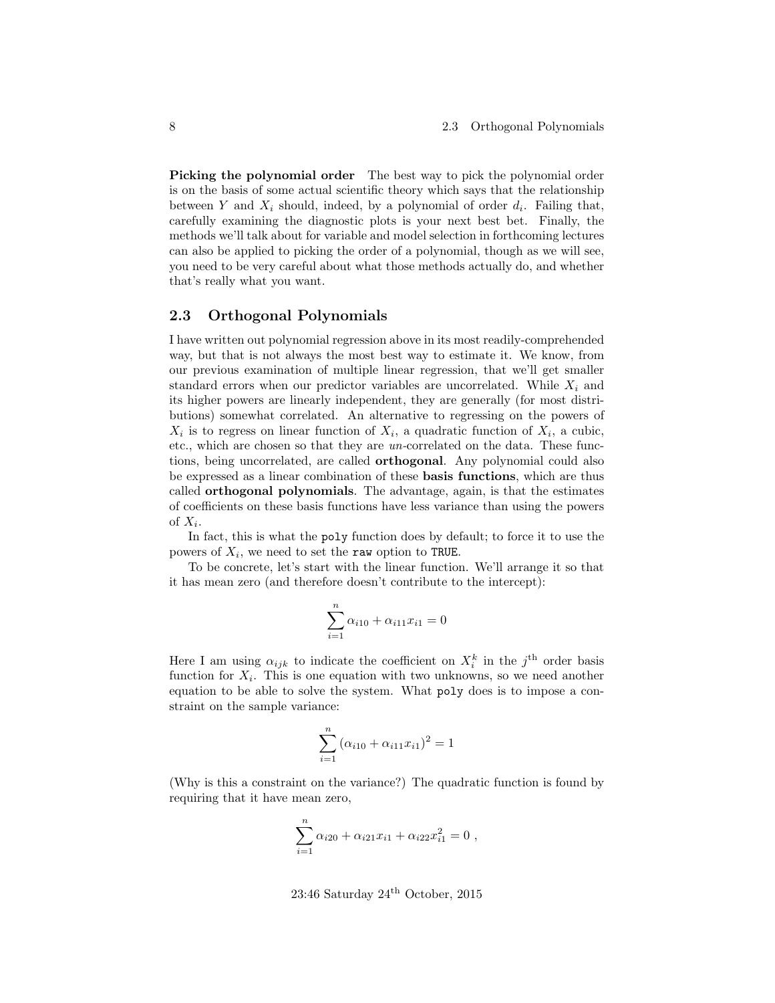Picking the polynomial order The best way to pick the polynomial order is on the basis of some actual scientific theory which says that the relationship between Y and  $X_i$  should, indeed, by a polynomial of order  $d_i$ . Failing that, carefully examining the diagnostic plots is your next best bet. Finally, the methods we'll talk about for variable and model selection in forthcoming lectures can also be applied to picking the order of a polynomial, though as we will see, you need to be very careful about what those methods actually do, and whether that's really what you want.

#### <span id="page-7-0"></span>2.3 Orthogonal Polynomials

I have written out polynomial regression above in its most readily-comprehended way, but that is not always the most best way to estimate it. We know, from our previous examination of multiple linear regression, that we'll get smaller standard errors when our predictor variables are uncorrelated. While  $X_i$  and its higher powers are linearly independent, they are generally (for most distributions) somewhat correlated. An alternative to regressing on the powers of  $X_i$  is to regress on linear function of  $X_i$ , a quadratic function of  $X_i$ , a cubic, etc., which are chosen so that they are un-correlated on the data. These functions, being uncorrelated, are called orthogonal. Any polynomial could also be expressed as a linear combination of these basis functions, which are thus called orthogonal polynomials. The advantage, again, is that the estimates of coefficients on these basis functions have less variance than using the powers of  $X_i$ .

In fact, this is what the poly function does by default; to force it to use the powers of  $X_i$ , we need to set the raw option to TRUE.

To be concrete, let's start with the linear function. We'll arrange it so that it has mean zero (and therefore doesn't contribute to the intercept):

$$
\sum_{i=1}^{n} \alpha_{i10} + \alpha_{i11} x_{i1} = 0
$$

Here I am using  $\alpha_{ijk}$  to indicate the coefficient on  $X_i^k$  in the j<sup>th</sup> order basis function for  $X_i$ . This is one equation with two unknowns, so we need another equation to be able to solve the system. What poly does is to impose a constraint on the sample variance:

$$
\sum_{i=1}^{n} (\alpha_{i10} + \alpha_{i11} x_{i1})^2 = 1
$$

(Why is this a constraint on the variance?) The quadratic function is found by requiring that it have mean zero,

$$
\sum_{i=1}^{n} \alpha_{i20} + \alpha_{i21} x_{i1} + \alpha_{i22} x_{i1}^{2} = 0,
$$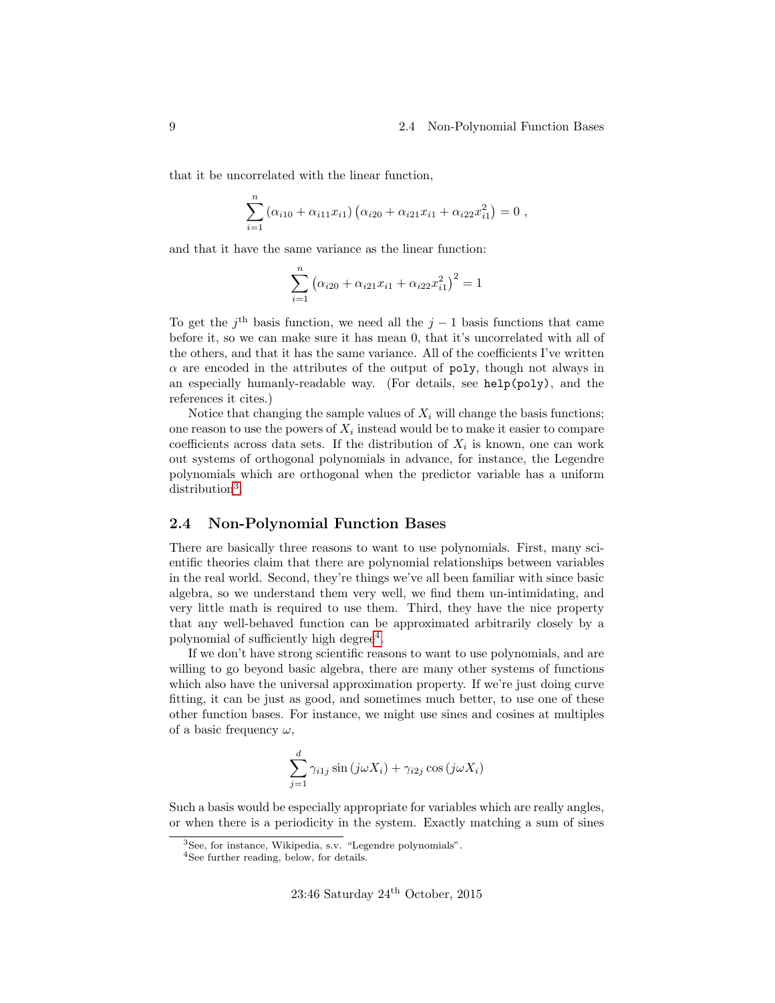#### 9 2.4 Non-Polynomial Function Bases

that it be uncorrelated with the linear function,

$$
\sum_{i=1}^{n} (\alpha_{i10} + \alpha_{i11} x_{i1}) (\alpha_{i20} + \alpha_{i21} x_{i1} + \alpha_{i22} x_{i1}^2) = 0,
$$

and that it have the same variance as the linear function:

$$
\sum_{i=1}^{n} (\alpha_{i20} + \alpha_{i21}x_{i1} + \alpha_{i22}x_{i1}^{2})^{2} = 1
$$

To get the j<sup>th</sup> basis function, we need all the  $j-1$  basis functions that came before it, so we can make sure it has mean 0, that it's uncorrelated with all of the others, and that it has the same variance. All of the coefficients I've written  $\alpha$  are encoded in the attributes of the output of poly, though not always in an especially humanly-readable way. (For details, see help(poly), and the references it cites.)

Notice that changing the sample values of  $X_i$  will change the basis functions; one reason to use the powers of  $X_i$  instead would be to make it easier to compare coefficients across data sets. If the distribution of  $X_i$  is known, one can work out systems of orthogonal polynomials in advance, for instance, the Legendre polynomials which are orthogonal when the predictor variable has a uniform distribution<sup>[3](#page-8-1)</sup>.

#### <span id="page-8-0"></span>2.4 Non-Polynomial Function Bases

There are basically three reasons to want to use polynomials. First, many scientific theories claim that there are polynomial relationships between variables in the real world. Second, they're things we've all been familiar with since basic algebra, so we understand them very well, we find them un-intimidating, and very little math is required to use them. Third, they have the nice property that any well-behaved function can be approximated arbitrarily closely by a polynomial of sufficiently high degree<sup>[4](#page-8-2)</sup>.

If we don't have strong scientific reasons to want to use polynomials, and are willing to go beyond basic algebra, there are many other systems of functions which also have the universal approximation property. If we're just doing curve fitting, it can be just as good, and sometimes much better, to use one of these other function bases. For instance, we might use sines and cosines at multiples of a basic frequency  $\omega$ ,

$$
\sum_{j=1}^{d} \gamma_{i1j} \sin(j\omega X_i) + \gamma_{i2j} \cos(j\omega X_i)
$$

Such a basis would be especially appropriate for variables which are really angles, or when there is a periodicity in the system. Exactly matching a sum of sines

<span id="page-8-1"></span> $\frac{3}{3}$ See, for instance, Wikipedia, s.v. "Legendre polynomials".

<span id="page-8-2"></span><sup>4</sup>See further reading, below, for details.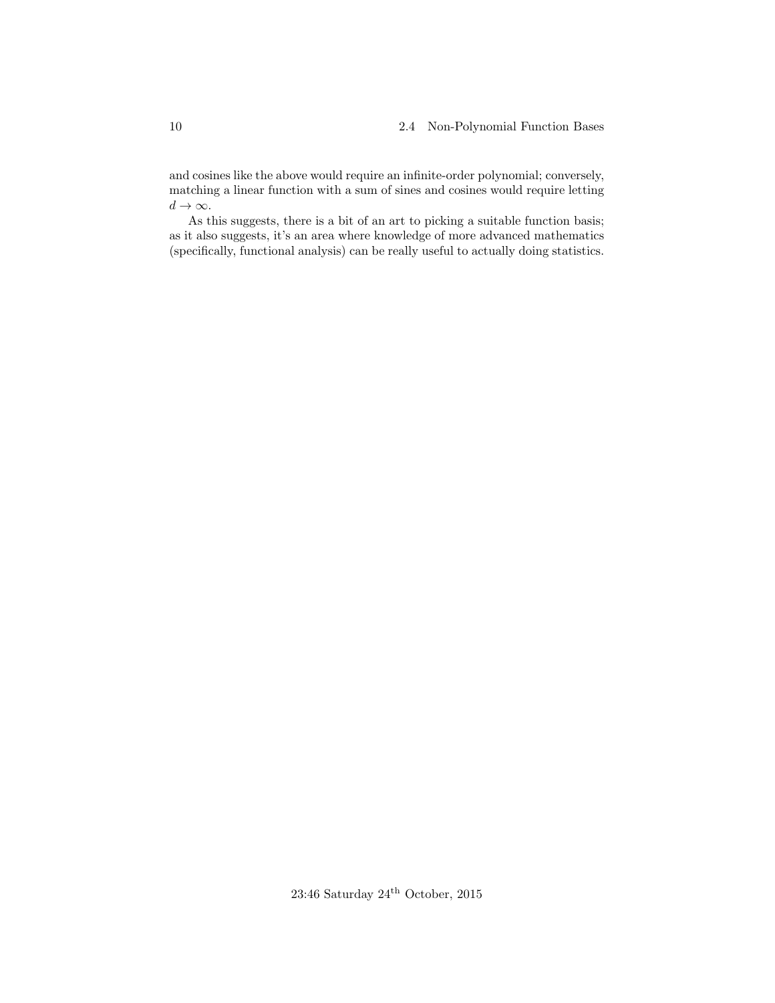and cosines like the above would require an infinite-order polynomial; conversely, matching a linear function with a sum of sines and cosines would require letting  $d \to \infty$ .

As this suggests, there is a bit of an art to picking a suitable function basis; as it also suggests, it's an area where knowledge of more advanced mathematics (specifically, functional analysis) can be really useful to actually doing statistics.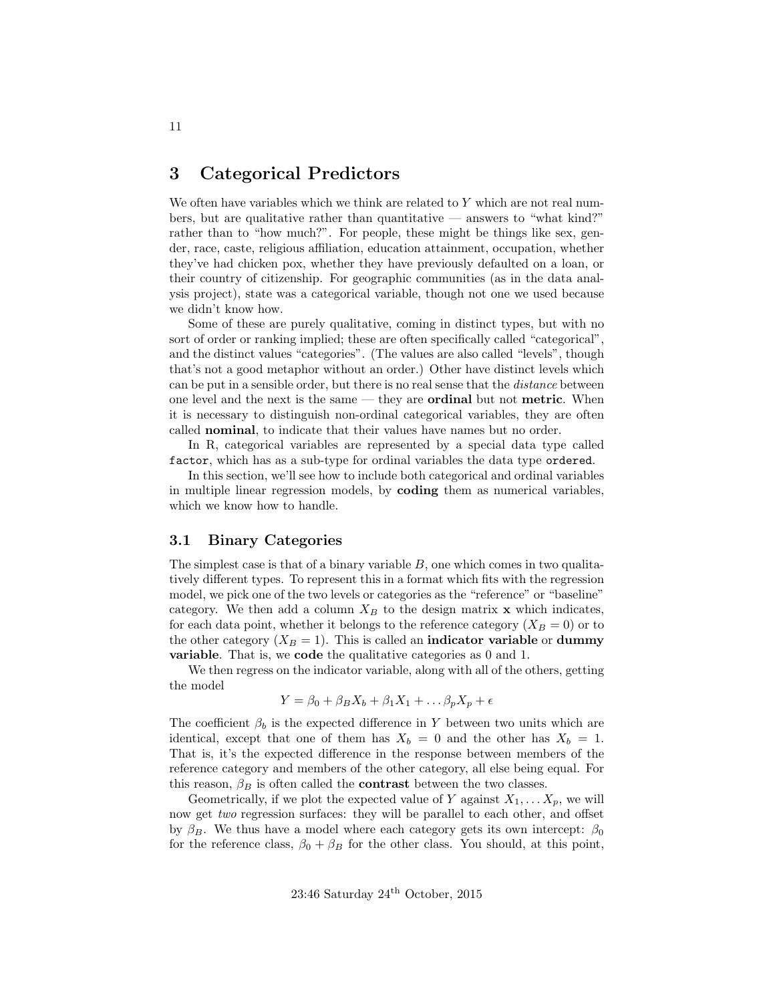# <span id="page-10-0"></span>3 Categorical Predictors

We often have variables which we think are related to Y which are not real numbers, but are qualitative rather than quantitative — answers to "what kind?" rather than to "how much?". For people, these might be things like sex, gender, race, caste, religious affiliation, education attainment, occupation, whether they've had chicken pox, whether they have previously defaulted on a loan, or their country of citizenship. For geographic communities (as in the data analysis project), state was a categorical variable, though not one we used because we didn't know how.

Some of these are purely qualitative, coming in distinct types, but with no sort of order or ranking implied; these are often specifically called "categorical", and the distinct values "categories". (The values are also called "levels", though that's not a good metaphor without an order.) Other have distinct levels which can be put in a sensible order, but there is no real sense that the *distance* between one level and the next is the same — they are **ordinal** but not **metric**. When it is necessary to distinguish non-ordinal categorical variables, they are often called nominal, to indicate that their values have names but no order.

In R, categorical variables are represented by a special data type called factor, which has as a sub-type for ordinal variables the data type ordered.

In this section, we'll see how to include both categorical and ordinal variables in multiple linear regression models, by coding them as numerical variables, which we know how to handle.

#### <span id="page-10-1"></span>3.1 Binary Categories

The simplest case is that of a binary variable  $B$ , one which comes in two qualitatively different types. To represent this in a format which fits with the regression model, we pick one of the two levels or categories as the "reference" or "baseline" category. We then add a column  $X_B$  to the design matrix x which indicates, for each data point, whether it belongs to the reference category  $(X_B = 0)$  or to the other category  $(X_B = 1)$ . This is called an **indicator variable** or **dummy** variable. That is, we code the qualitative categories as 0 and 1.

We then regress on the indicator variable, along with all of the others, getting the model

$$
Y = \beta_0 + \beta_B X_b + \beta_1 X_1 + \dots + \beta_p X_p + \epsilon
$$

The coefficient  $\beta_b$  is the expected difference in Y between two units which are identical, except that one of them has  $X_b = 0$  and the other has  $X_b = 1$ . That is, it's the expected difference in the response between members of the reference category and members of the other category, all else being equal. For this reason,  $\beta_B$  is often called the **contrast** between the two classes.

Geometrically, if we plot the expected value of Y against  $X_1, \ldots X_p$ , we will now get two regression surfaces: they will be parallel to each other, and offset by  $\beta_B$ . We thus have a model where each category gets its own intercept:  $\beta_0$ for the reference class,  $\beta_0 + \beta_B$  for the other class. You should, at this point,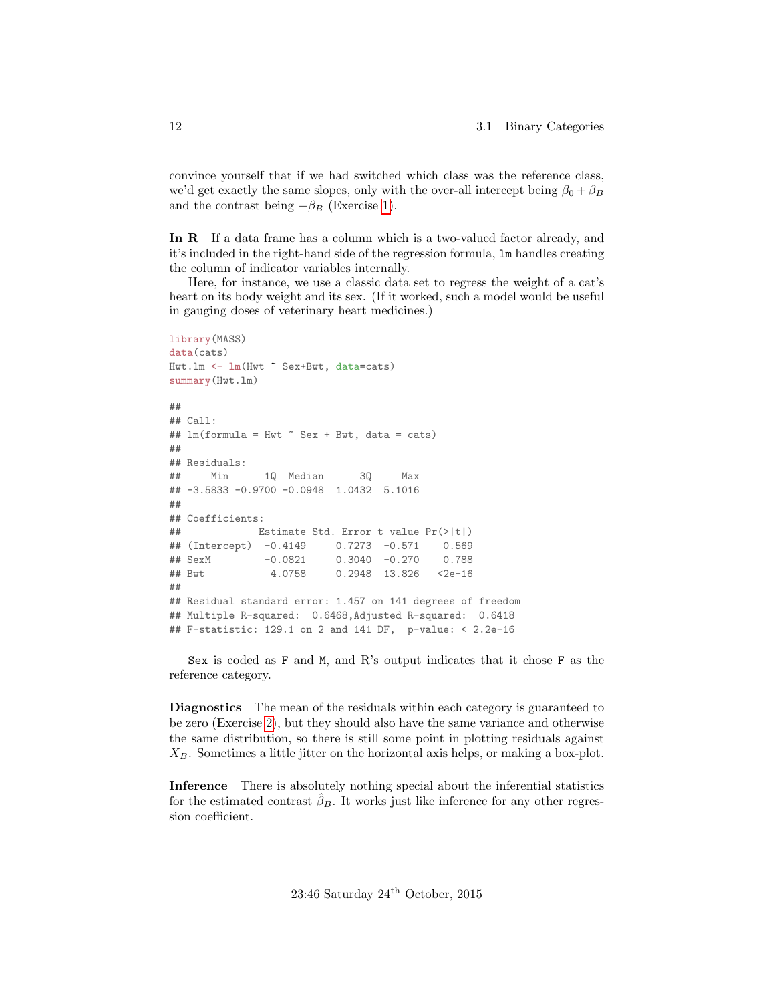convince yourself that if we had switched which class was the reference class, we'd get exactly the same slopes, only with the over-all intercept being  $\beta_0 + \beta_B$ and the contrast being  $-\beta_B$  (Exercise [1\)](#page-23-1).

In R If a data frame has a column which is a two-valued factor already, and it's included in the right-hand side of the regression formula, lm handles creating the column of indicator variables internally.

Here, for instance, we use a classic data set to regress the weight of a cat's heart on its body weight and its sex. (If it worked, such a model would be useful in gauging doses of veterinary heart medicines.)

```
library(MASS)
data(cats)
Hwt.lm <- lm(Hwt ~ Sex+Bwt, data=cats)
summary(Hwt.lm)
##
## Call:
## lm(formula = Hwt \tilde{\sigma} Sex + Bwt, data = cats)##
## Residuals:
## Min 1Q Median 3Q Max
## -3.5833 -0.9700 -0.0948 1.0432 5.1016
##
## Coefficients:
## Estimate Std. Error t value Pr(>|t|)
## (Intercept) -0.4149 0.7273 -0.571 0.569
## SexM -0.0821 0.3040 -0.270 0.788
## Bwt 4.0758 0.2948 13.826 <2e-16
##
## Residual standard error: 1.457 on 141 degrees of freedom
## Multiple R-squared: 0.6468,Adjusted R-squared: 0.6418
## F-statistic: 129.1 on 2 and 141 DF, p-value: < 2.2e-16
```
Sex is coded as F and M, and R's output indicates that it chose F as the reference category.

Diagnostics The mean of the residuals within each category is guaranteed to be zero (Exercise [2\)](#page-23-2), but they should also have the same variance and otherwise the same distribution, so there is still some point in plotting residuals against  $X_B$ . Sometimes a little jitter on the horizontal axis helps, or making a box-plot.

Inference There is absolutely nothing special about the inferential statistics for the estimated contrast  $\hat{\beta}_B$ . It works just like inference for any other regression coefficient.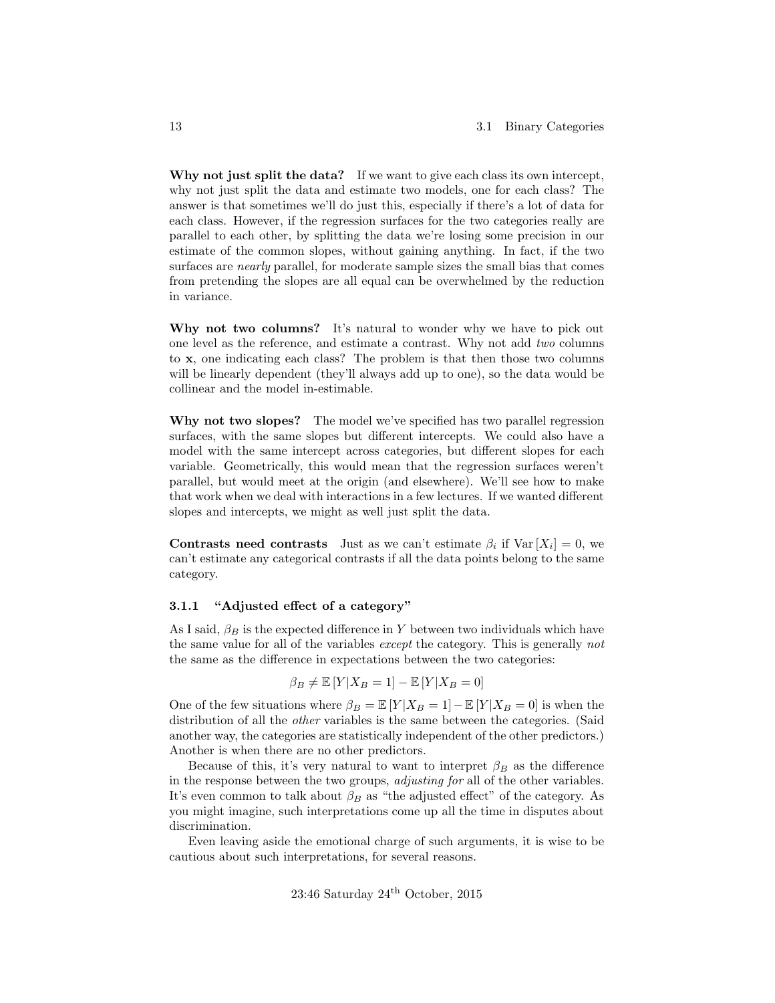Why not just split the data? If we want to give each class its own intercept, why not just split the data and estimate two models, one for each class? The answer is that sometimes we'll do just this, especially if there's a lot of data for each class. However, if the regression surfaces for the two categories really are parallel to each other, by splitting the data we're losing some precision in our estimate of the common slopes, without gaining anything. In fact, if the two surfaces are *nearly* parallel, for moderate sample sizes the small bias that comes from pretending the slopes are all equal can be overwhelmed by the reduction in variance.

Why not two columns? It's natural to wonder why we have to pick out one level as the reference, and estimate a contrast. Why not add two columns to x, one indicating each class? The problem is that then those two columns will be linearly dependent (they'll always add up to one), so the data would be collinear and the model in-estimable.

Why not two slopes? The model we've specified has two parallel regression surfaces, with the same slopes but different intercepts. We could also have a model with the same intercept across categories, but different slopes for each variable. Geometrically, this would mean that the regression surfaces weren't parallel, but would meet at the origin (and elsewhere). We'll see how to make that work when we deal with interactions in a few lectures. If we wanted different slopes and intercepts, we might as well just split the data.

Contrasts need contrasts Just as we can't estimate  $\beta_i$  if  $Var[X_i] = 0$ , we can't estimate any categorical contrasts if all the data points belong to the same category.

#### <span id="page-12-0"></span>3.1.1 "Adjusted effect of a category"

As I said,  $\beta_B$  is the expected difference in Y between two individuals which have the same value for all of the variables except the category. This is generally not the same as the difference in expectations between the two categories:

$$
\beta_B \neq \mathbb{E}\left[Y|X_B=1\right] - \mathbb{E}\left[Y|X_B=0\right]
$$

One of the few situations where  $\beta_B = \mathbb{E}[Y|X_B = 1] - \mathbb{E}[Y|X_B = 0]$  is when the distribution of all the other variables is the same between the categories. (Said another way, the categories are statistically independent of the other predictors.) Another is when there are no other predictors.

Because of this, it's very natural to want to interpret  $\beta_B$  as the difference in the response between the two groups, adjusting for all of the other variables. It's even common to talk about  $\beta_B$  as "the adjusted effect" of the category. As you might imagine, such interpretations come up all the time in disputes about discrimination.

Even leaving aside the emotional charge of such arguments, it is wise to be cautious about such interpretations, for several reasons.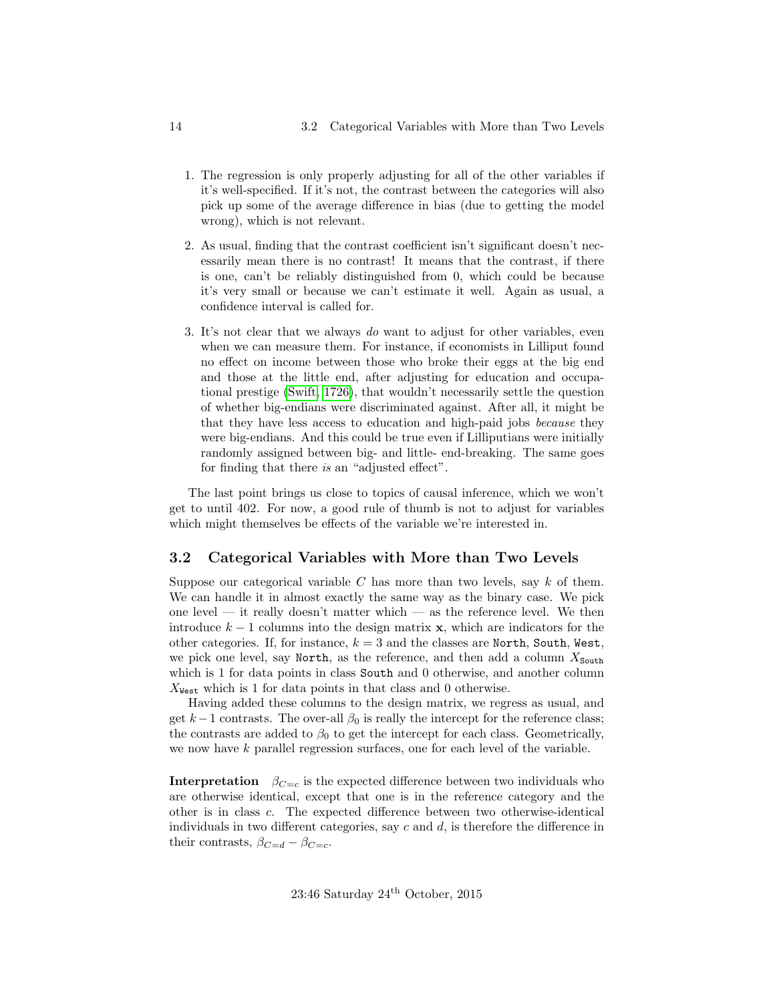- 1. The regression is only properly adjusting for all of the other variables if it's well-specified. If it's not, the contrast between the categories will also pick up some of the average difference in bias (due to getting the model wrong), which is not relevant.
- 2. As usual, finding that the contrast coefficient isn't significant doesn't necessarily mean there is no contrast! It means that the contrast, if there is one, can't be reliably distinguished from 0, which could be because it's very small or because we can't estimate it well. Again as usual, a confidence interval is called for.
- 3. It's not clear that we always do want to adjust for other variables, even when we can measure them. For instance, if economists in Lilliput found no effect on income between those who broke their eggs at the big end and those at the little end, after adjusting for education and occupational prestige [\(Swift, 1726\)](#page-23-3), that wouldn't necessarily settle the question of whether big-endians were discriminated against. After all, it might be that they have less access to education and high-paid jobs because they were big-endians. And this could be true even if Lilliputians were initially randomly assigned between big- and little- end-breaking. The same goes for finding that there is an "adjusted effect".

The last point brings us close to topics of causal inference, which we won't get to until 402. For now, a good rule of thumb is not to adjust for variables which might themselves be effects of the variable we're interested in.

#### <span id="page-13-0"></span>3.2 Categorical Variables with More than Two Levels

Suppose our categorical variable  $C$  has more than two levels, say  $k$  of them. We can handle it in almost exactly the same way as the binary case. We pick one level — it really doesn't matter which — as the reference level. We then introduce  $k-1$  columns into the design matrix **x**, which are indicators for the other categories. If, for instance,  $k = 3$  and the classes are North, South, West, we pick one level, say North, as the reference, and then add a column  $X_{\text{South}}$ which is 1 for data points in class South and 0 otherwise, and another column  $X_{\text{West}}$  which is 1 for data points in that class and 0 otherwise.

Having added these columns to the design matrix, we regress as usual, and get  $k-1$  contrasts. The over-all  $\beta_0$  is really the intercept for the reference class; the contrasts are added to  $\beta_0$  to get the intercept for each class. Geometrically, we now have k parallel regression surfaces, one for each level of the variable.

**Interpretation**  $\beta_{C=c}$  is the expected difference between two individuals who are otherwise identical, except that one is in the reference category and the other is in class c. The expected difference between two otherwise-identical individuals in two different categories, say  $c$  and  $d$ , is therefore the difference in their contrasts,  $\beta_{C=d} - \beta_{C=c}$ .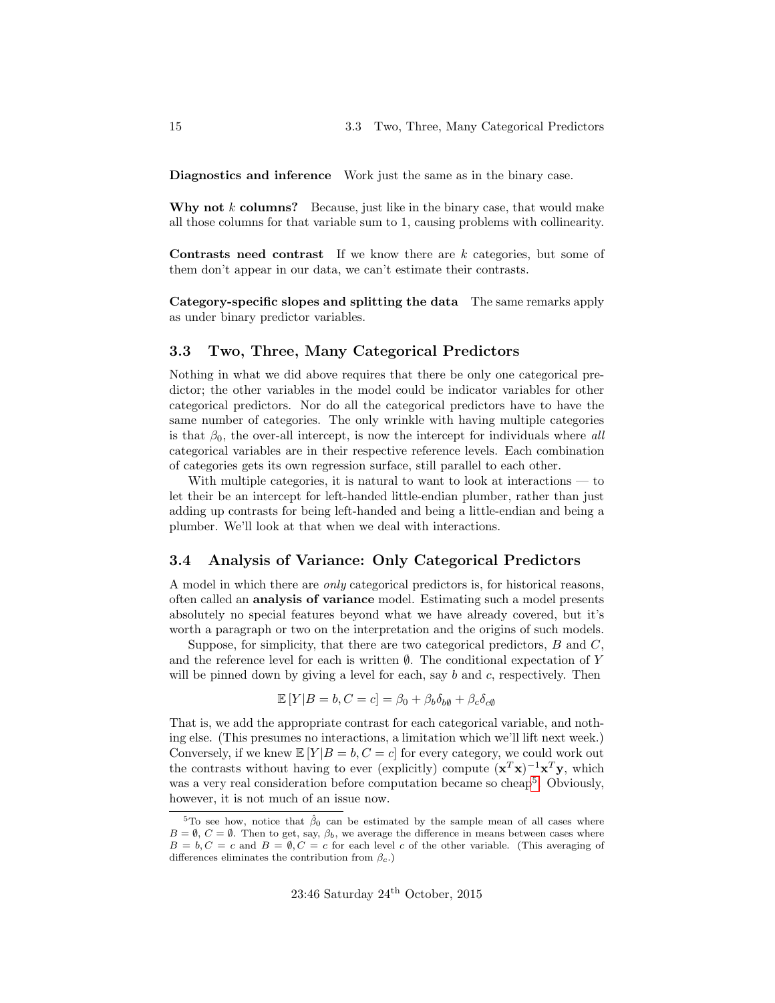Diagnostics and inference Work just the same as in the binary case.

Why not  $k$  columns? Because, just like in the binary case, that would make all those columns for that variable sum to 1, causing problems with collinearity.

**Contrasts need contrast** If we know there are  $k$  categories, but some of them don't appear in our data, we can't estimate their contrasts.

Category-specific slopes and splitting the data The same remarks apply as under binary predictor variables.

#### <span id="page-14-0"></span>3.3 Two, Three, Many Categorical Predictors

Nothing in what we did above requires that there be only one categorical predictor; the other variables in the model could be indicator variables for other categorical predictors. Nor do all the categorical predictors have to have the same number of categories. The only wrinkle with having multiple categories is that  $\beta_0$ , the over-all intercept, is now the intercept for individuals where all categorical variables are in their respective reference levels. Each combination of categories gets its own regression surface, still parallel to each other.

With multiple categories, it is natural to want to look at interactions — to let their be an intercept for left-handed little-endian plumber, rather than just adding up contrasts for being left-handed and being a little-endian and being a plumber. We'll look at that when we deal with interactions.

#### <span id="page-14-1"></span>3.4 Analysis of Variance: Only Categorical Predictors

A model in which there are only categorical predictors is, for historical reasons, often called an analysis of variance model. Estimating such a model presents absolutely no special features beyond what we have already covered, but it's worth a paragraph or two on the interpretation and the origins of such models.

Suppose, for simplicity, that there are two categorical predictors,  $B$  and  $C$ , and the reference level for each is written  $\emptyset$ . The conditional expectation of Y will be pinned down by giving a level for each, say  $b$  and  $c$ , respectively. Then

$$
\mathbb{E}[Y|B=b, C=c] = \beta_0 + \beta_b \delta_{b\emptyset} + \beta_c \delta_{c\emptyset}
$$

That is, we add the appropriate contrast for each categorical variable, and nothing else. (This presumes no interactions, a limitation which we'll lift next week.) Conversely, if we knew  $\mathbb{E}[Y|B = b, C = c]$  for every category, we could work out the contrasts without having to ever (explicitly) compute  $(\mathbf{x}^T\mathbf{x})^{-1}\mathbf{x}^T\mathbf{y}$ , which was a very real consideration before computation became so cheap<sup>[5](#page-14-2)</sup>. Obviously, however, it is not much of an issue now.

<span id="page-14-2"></span><sup>&</sup>lt;sup>5</sup>To see how, notice that  $\hat{\beta}_0$  can be estimated by the sample mean of all cases where  $B = \emptyset$ ,  $C = \emptyset$ . Then to get, say,  $\beta_b$ , we average the difference in means between cases where  $B = b, C = c$  and  $B = \emptyset, C = c$  for each level c of the other variable. (This averaging of differences eliminates the contribution from  $\beta_c$ .)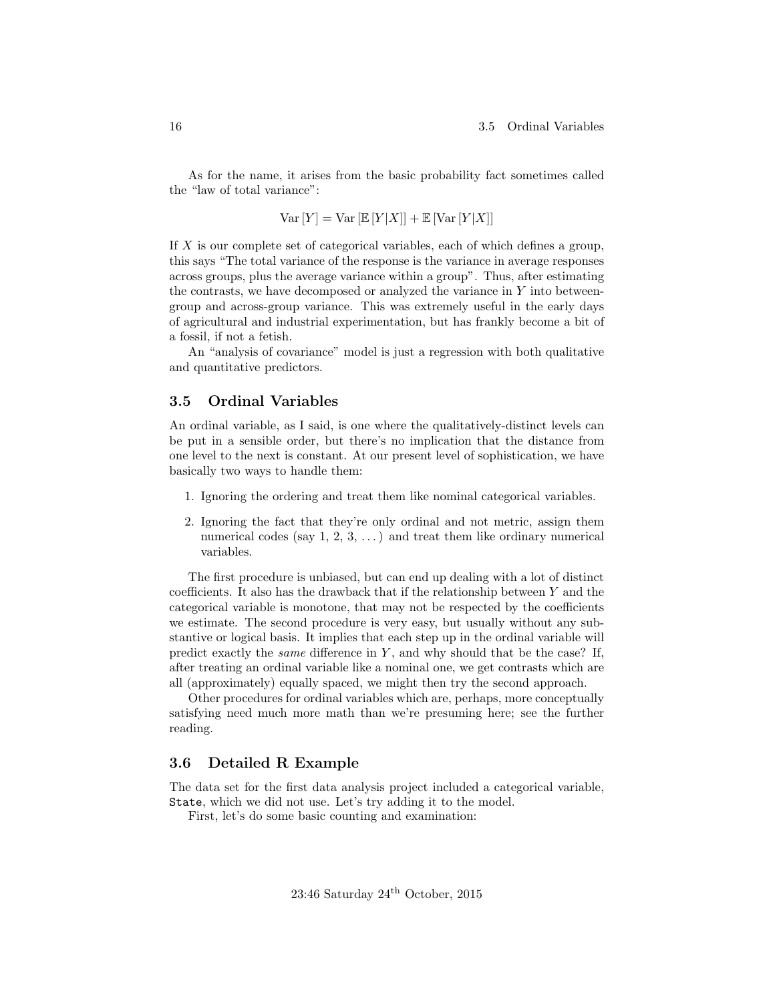As for the name, it arises from the basic probability fact sometimes called the "law of total variance":

$$
Var[Y] = Var[\mathbb{E}[Y|X]] + \mathbb{E}[Var[Y|X]]
$$

If X is our complete set of categorical variables, each of which defines a group, this says "The total variance of the response is the variance in average responses across groups, plus the average variance within a group". Thus, after estimating the contrasts, we have decomposed or analyzed the variance in  $Y$  into betweengroup and across-group variance. This was extremely useful in the early days of agricultural and industrial experimentation, but has frankly become a bit of a fossil, if not a fetish.

An "analysis of covariance" model is just a regression with both qualitative and quantitative predictors.

#### <span id="page-15-0"></span>3.5 Ordinal Variables

An ordinal variable, as I said, is one where the qualitatively-distinct levels can be put in a sensible order, but there's no implication that the distance from one level to the next is constant. At our present level of sophistication, we have basically two ways to handle them:

- 1. Ignoring the ordering and treat them like nominal categorical variables.
- 2. Ignoring the fact that they're only ordinal and not metric, assign them numerical codes (say  $1, 2, 3, \ldots$ ) and treat them like ordinary numerical variables.

The first procedure is unbiased, but can end up dealing with a lot of distinct coefficients. It also has the drawback that if the relationship between Y and the categorical variable is monotone, that may not be respected by the coefficients we estimate. The second procedure is very easy, but usually without any substantive or logical basis. It implies that each step up in the ordinal variable will predict exactly the *same* difference in  $Y$ , and why should that be the case? If, after treating an ordinal variable like a nominal one, we get contrasts which are all (approximately) equally spaced, we might then try the second approach.

Other procedures for ordinal variables which are, perhaps, more conceptually satisfying need much more math than we're presuming here; see the further reading.

#### <span id="page-15-1"></span>3.6 Detailed R Example

The data set for the first data analysis project included a categorical variable, State, which we did not use. Let's try adding it to the model.

First, let's do some basic counting and examination: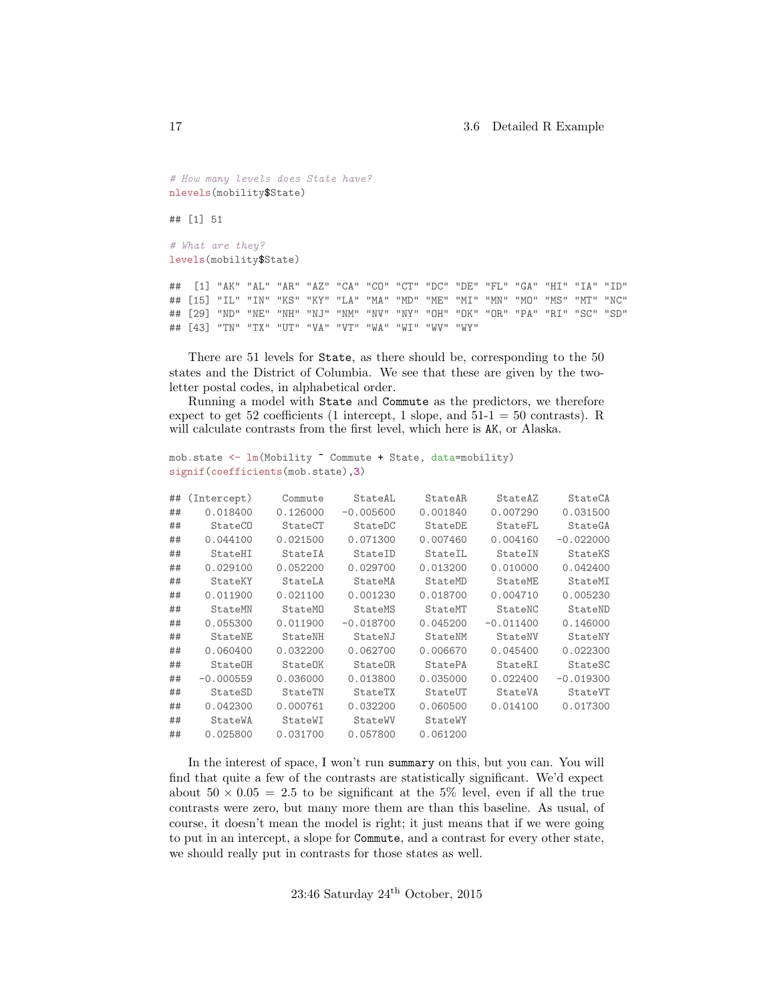```
# How many levels does State have?
nlevels(mobility$State)
```
## [1] 51

```
# What are they?
levels(mobility$State)
```
## [1] "AK" "AL" "AR" "AZ" "CA" "CO" "CT" "DC" "DE" "FL" "GA" "HI" "IA" "ID" ## [15] "IL" "IN" "KS" "KY" "LA" "MA" "MD" "ME" "MI" "MN" "MO" "MS" "MT" "NC" ## [29] "ND" "NE" "NH" "NJ" "NM" "NV" "NY" "OH" "OK" "OR" "PA" "RI" "SC" "SD" ## [43] "TN" "TX" "UT" "VA" "VT" "WA" "WI" "WV" "WY"

There are 51 levels for State, as there should be, corresponding to the 50 states and the District of Columbia. We see that these are given by the twoletter postal codes, in alphabetical order.

Running a model with State and Commute as the predictors, we therefore expect to get 52 coefficients (1 intercept, 1 slope, and  $51-1 = 50$  contrasts). R will calculate contrasts from the first level, which here is AK, or Alaska.

```
mob.state <- lm(Mobility ~ Commute + State, data=mobility)
signif(coefficients(mob.state),3)
```

| ## | (Intercept)    | Commute  | StateAL        | StateAR  | StateAZ     | StateCA     |
|----|----------------|----------|----------------|----------|-------------|-------------|
| ## | 0.018400       | 0.126000 | $-0.005600$    | 0.001840 | 0.007290    | 0.031500    |
| ## | <b>StateCO</b> | StateCT  | StateDC        | StateDE  | StateFL     | StateGA     |
| ## | 0.044100       | 0.021500 | 0.071300       | 0.007460 | 0.004160    | $-0.022000$ |
| ## | StateHI        | StateIA  | StateID        | StateIL  | StateIN     | StateKS     |
| ## | 0.029100       | 0.052200 | 0.029700       | 0.013200 | 0.010000    | 0.042400    |
| ## | StateKY        | StateLA  | StateMA        | StateMD  | StateME     | StateMI     |
| ## | 0.011900       | 0.021100 | 0.001230       | 0.018700 | 0.004710    | 0.005230    |
| ## | StateMN        | StateMO  | StateMS        | StateMT  | StateNC     | StateND     |
| ## | 0.055300       | 0.011900 | $-0.018700$    | 0.045200 | $-0.011400$ | 0.146000    |
| ## | StateNE        | StateNH  | StateNJ        | StateNM  | StateNV     | StateNY     |
| ## | 0.060400       | 0.032200 | 0.062700       | 0.006670 | 0.045400    | 0.022300    |
| ## | StateOH        | StateOK  | StateOR        | StatePA  | StateRI     | StateSC     |
| ## | $-0.000559$    | 0.036000 | 0.013800       | 0.035000 | 0.022400    | $-0.019300$ |
| ## | StateSD        | StateTN  | <b>StateTX</b> | StateUT  | StateVA     | StateVT     |
| ## | 0.042300       | 0.000761 | 0.032200       | 0.060500 | 0.014100    | 0.017300    |
| ## | StateWA        | StateWI  | StateWV        | StateWY  |             |             |
| ## | 0.025800       | 0.031700 | 0.057800       | 0.061200 |             |             |
|    |                |          |                |          |             |             |

In the interest of space, I won't run summary on this, but you can. You will find that quite a few of the contrasts are statistically significant. We'd expect about  $50 \times 0.05 = 2.5$  to be significant at the 5% level, even if all the true contrasts were zero, but many more them are than this baseline. As usual, of course, it doesn't mean the model is right; it just means that if we were going to put in an intercept, a slope for Commute, and a contrast for every other state, we should really put in contrasts for those states as well.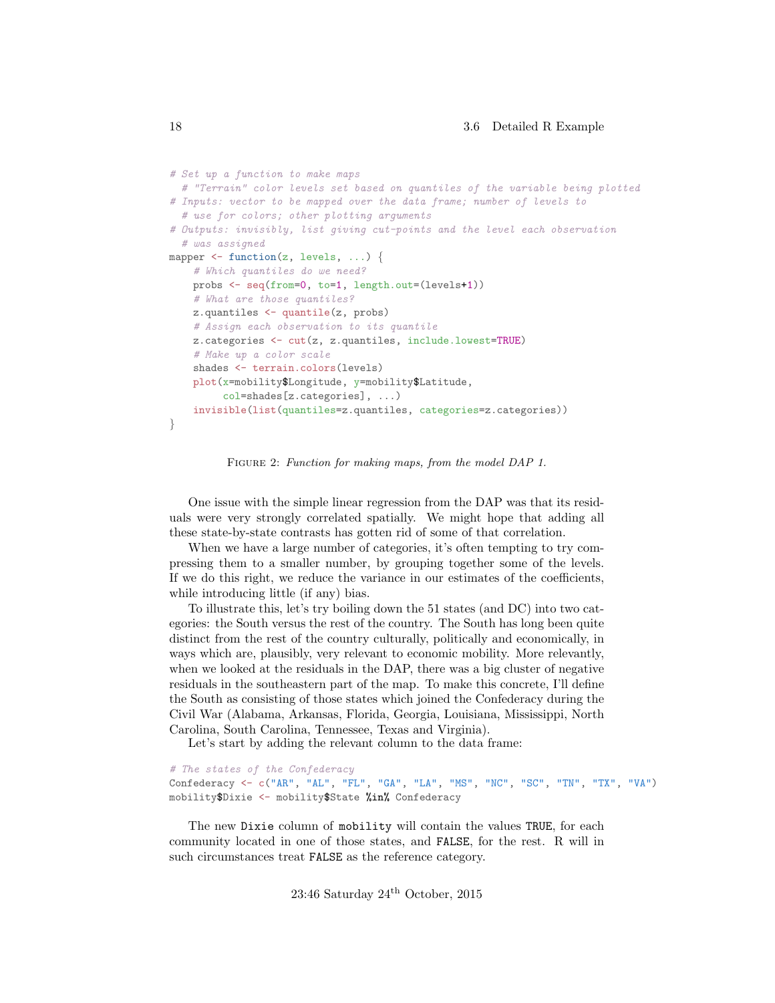```
# Set up a function to make maps
  # "Terrain" color levels set based on quantiles of the variable being plotted
# Inputs: vector to be mapped over the data frame; number of levels to
  # use for colors; other plotting arguments
# Outputs: invisibly, list giving cut-points and the level each observation
  # was assigned
mapper \leq function(z, levels, ...) {
    # Which quantiles do we need?
   probs <- seq(from=0, to=1, length.out=(levels+1))
    # What are those quantiles?
   z.quantiles <- quantile(z, probs)
    # Assign each observation to its quantile
    z.categories <- cut(z, z.quantiles, include.lowest=TRUE)
    # Make up a color scale
    shades <- terrain.colors(levels)
    plot(x=mobility$Longitude, y=mobility$Latitude,
         col=shades[z.categories], ...)
    invisible(list(quantiles=z.quantiles, categories=z.categories))
}
```
FIGURE 2: Function for making maps, from the model DAP 1.

One issue with the simple linear regression from the DAP was that its residuals were very strongly correlated spatially. We might hope that adding all these state-by-state contrasts has gotten rid of some of that correlation.

When we have a large number of categories, it's often tempting to try compressing them to a smaller number, by grouping together some of the levels. If we do this right, we reduce the variance in our estimates of the coefficients, while introducing little (if any) bias.

To illustrate this, let's try boiling down the 51 states (and DC) into two categories: the South versus the rest of the country. The South has long been quite distinct from the rest of the country culturally, politically and economically, in ways which are, plausibly, very relevant to economic mobility. More relevantly, when we looked at the residuals in the DAP, there was a big cluster of negative residuals in the southeastern part of the map. To make this concrete, I'll define the South as consisting of those states which joined the Confederacy during the Civil War (Alabama, Arkansas, Florida, Georgia, Louisiana, Mississippi, North Carolina, South Carolina, Tennessee, Texas and Virginia).

Let's start by adding the relevant column to the data frame:

```
# The states of the Confederacy
Confederacy <- c("AR", "AL", "FL", "GA", "LA", "MS", "NC", "SC", "TN", "TX", "VA")
mobility$Dixie <- mobility$State %in% Confederacy
```
The new Dixie column of mobility will contain the values TRUE, for each community located in one of those states, and FALSE, for the rest. R will in such circumstances treat FALSE as the reference category.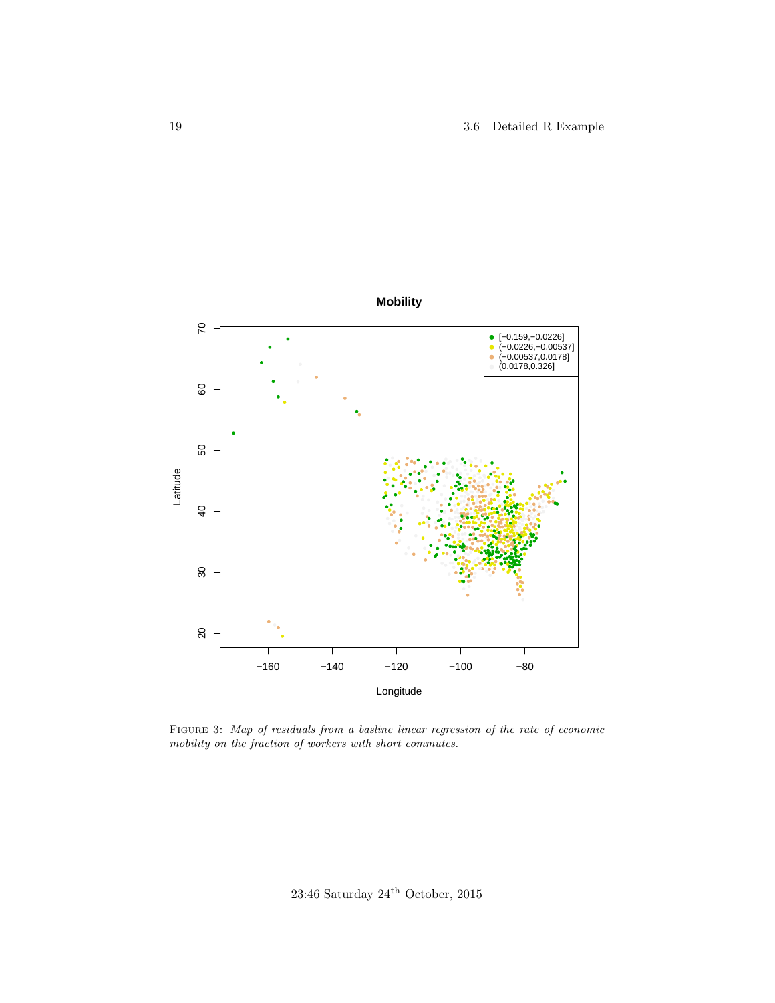

FIGURE 3: Map of residuals from a basline linear regression of the rate of economic  $mobility\ on\ the\ fraction\ of\ workers\ with\ short\ commutes.$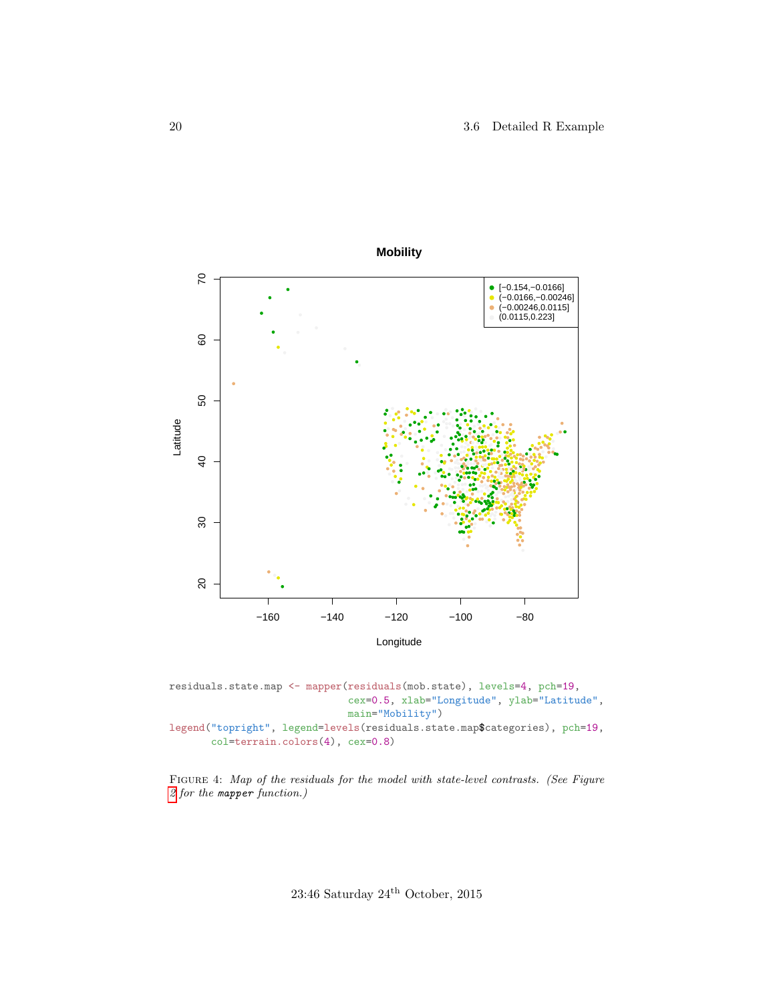

residuals.state.map <- mapper(residuals(mob.state), levels=4, pch=19, cex=0.5, xlab="Longitude", ylab="Latitude", main="Mobility") legend("topright", legend=levels(residuals.state.map\$categories), pch=19, col=terrain.colors(4), cex=0.8)

FIGURE 4: Map of the residuals for the model with state-level contrasts. (See Figure [2](#page-17-0) for the mapper function.)

23:46 Saturday  $24^{\rm th}$  October, 2015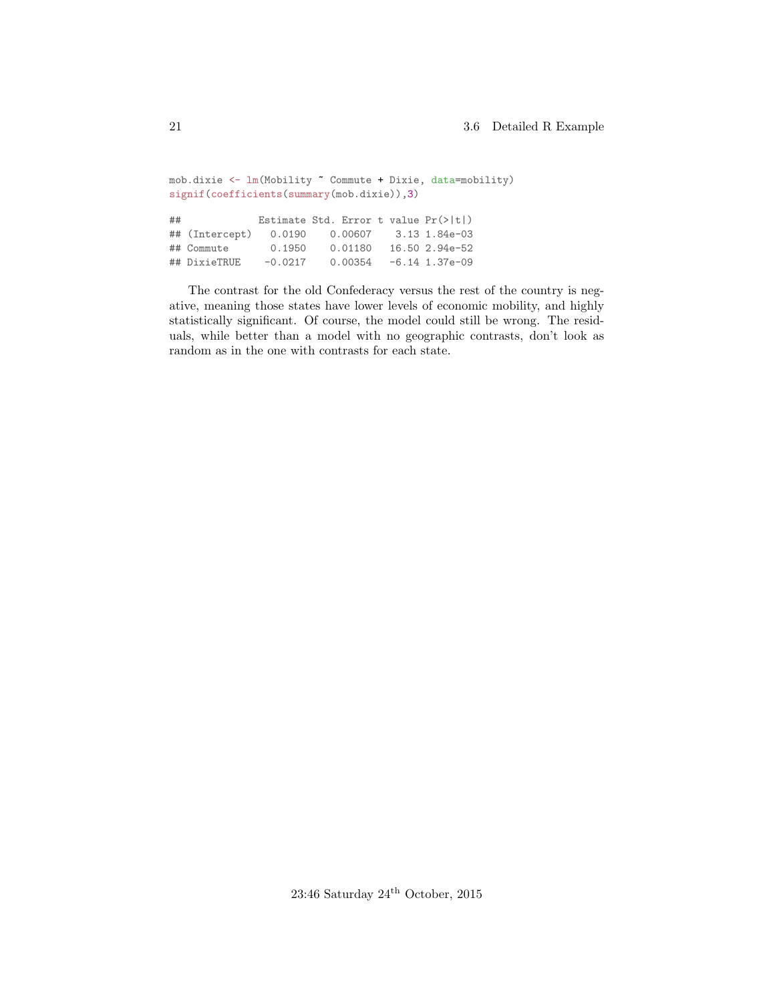```
mob.dixie <- lm(Mobility ~ Commute + Dixie, data=mobility)
signif(coefficients(summary(mob.dixie)),3)
## Estimate Std. Error t value Pr(>|t|)
## (Intercept) 0.0190 0.00607 3.13 1.84e-03
## Commute 0.1950 0.01180 16.50 2.94e-52
                                -6.14 1.37e-09
```
The contrast for the old Confederacy versus the rest of the country is negative, meaning those states have lower levels of economic mobility, and highly statistically significant. Of course, the model could still be wrong. The residuals, while better than a model with no geographic contrasts, don't look as random as in the one with contrasts for each state.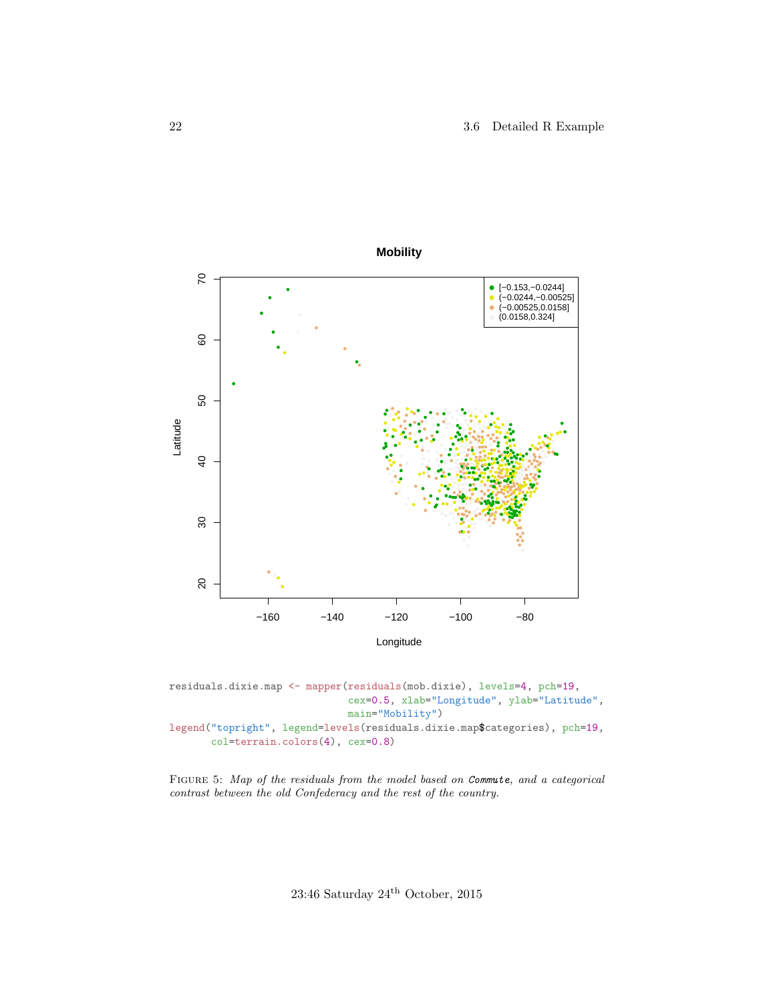

residuals.dixie.map <- mapper(residuals(mob.dixie), levels=4, pch=19, cex=0.5, xlab="Longitude", ylab="Latitude", main="Mobility") legend("topright", legend=levels(residuals.dixie.map\$categories), pch=19, col=terrain.colors(4), cex=0.8)

FIGURE 5: Map of the residuals from the model based on Commute, and a categorical contrast between the old Confederacy and the rest of the country.

23:46 Saturday  $24^{\rm th}$  October, 2015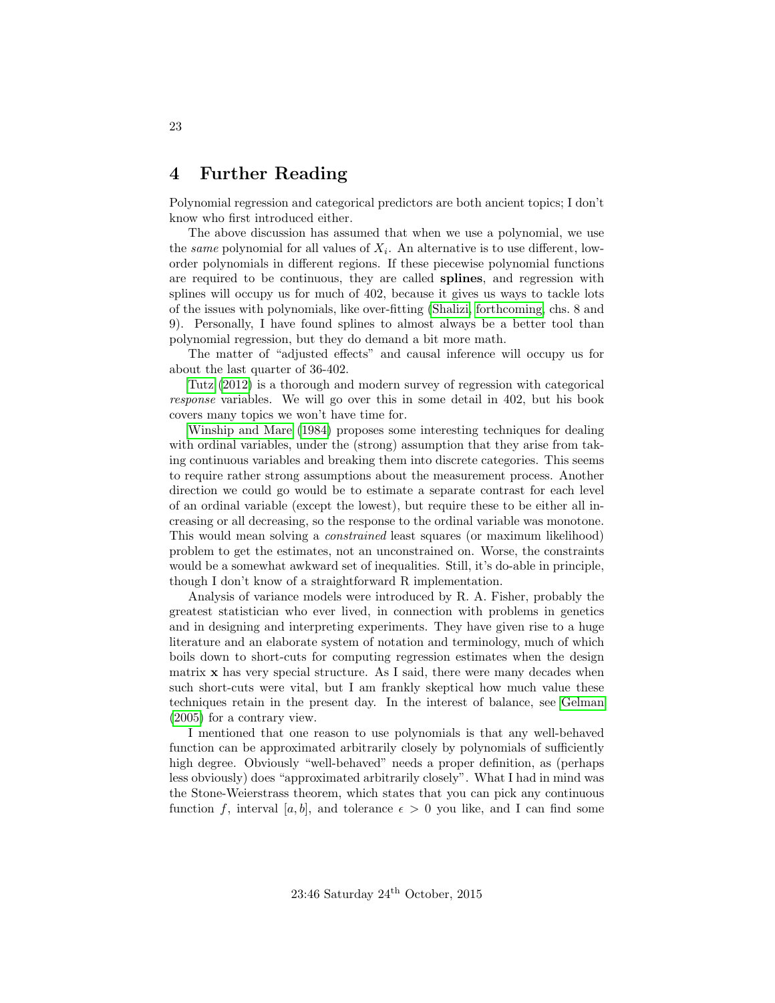# <span id="page-22-0"></span>4 Further Reading

Polynomial regression and categorical predictors are both ancient topics; I don't know who first introduced either.

The above discussion has assumed that when we use a polynomial, we use the *same* polynomial for all values of  $X_i$ . An alternative is to use different, loworder polynomials in different regions. If these piecewise polynomial functions are required to be continuous, they are called splines, and regression with splines will occupy us for much of 402, because it gives us ways to tackle lots of the issues with polynomials, like over-fitting [\(Shalizi, forthcoming,](#page-23-4) chs. 8 and 9). Personally, I have found splines to almost always be a better tool than polynomial regression, but they do demand a bit more math.

The matter of "adjusted effects" and causal inference will occupy us for about the last quarter of 36-402.

[Tutz](#page-23-5) [\(2012\)](#page-23-5) is a thorough and modern survey of regression with categorical response variables. We will go over this in some detail in 402, but his book covers many topics we won't have time for.

[Winship and Mare](#page-24-0) [\(1984\)](#page-24-0) proposes some interesting techniques for dealing with ordinal variables, under the (strong) assumption that they arise from taking continuous variables and breaking them into discrete categories. This seems to require rather strong assumptions about the measurement process. Another direction we could go would be to estimate a separate contrast for each level of an ordinal variable (except the lowest), but require these to be either all increasing or all decreasing, so the response to the ordinal variable was monotone. This would mean solving a constrained least squares (or maximum likelihood) problem to get the estimates, not an unconstrained on. Worse, the constraints would be a somewhat awkward set of inequalities. Still, it's do-able in principle, though I don't know of a straightforward R implementation.

Analysis of variance models were introduced by R. A. Fisher, probably the greatest statistician who ever lived, in connection with problems in genetics and in designing and interpreting experiments. They have given rise to a huge literature and an elaborate system of notation and terminology, much of which boils down to short-cuts for computing regression estimates when the design matrix x has very special structure. As I said, there were many decades when such short-cuts were vital, but I am frankly skeptical how much value these techniques retain in the present day. In the interest of balance, see [Gelman](#page-23-6) [\(2005\)](#page-23-6) for a contrary view.

I mentioned that one reason to use polynomials is that any well-behaved function can be approximated arbitrarily closely by polynomials of sufficiently high degree. Obviously "well-behaved" needs a proper definition, as (perhaps less obviously) does "approximated arbitrarily closely". What I had in mind was the Stone-Weierstrass theorem, which states that you can pick any continuous function f, interval [a, b], and tolerance  $\epsilon > 0$  you like, and I can find some

23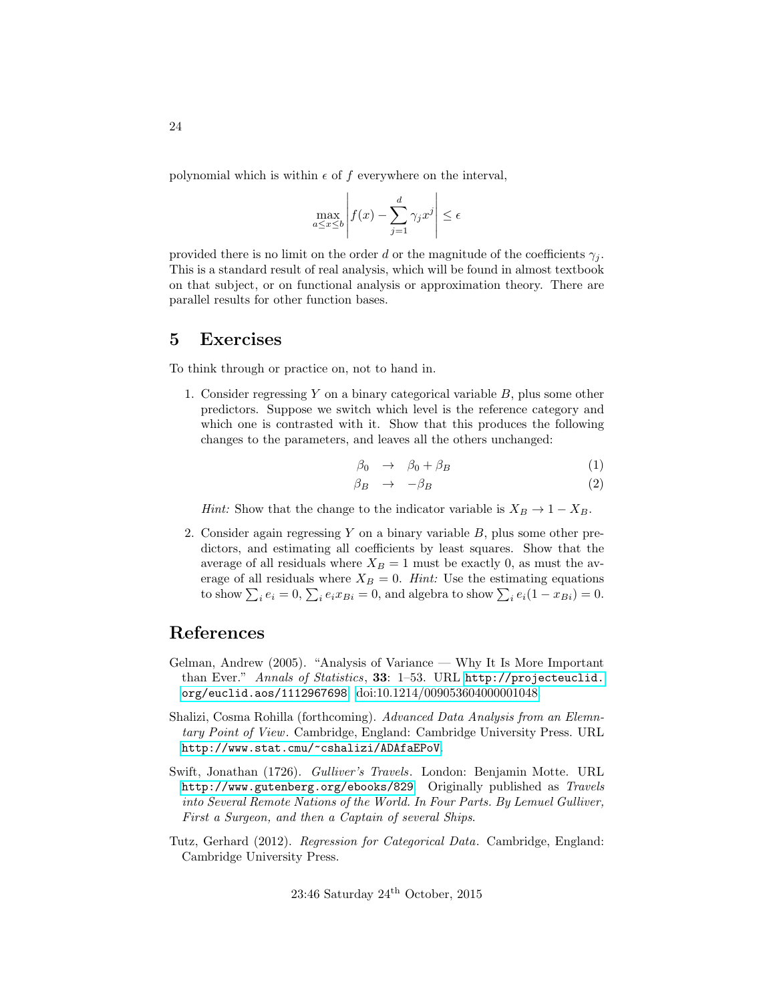polynomial which is within  $\epsilon$  of f everywhere on the interval,

$$
\max_{a \le x \le b} \left| f(x) - \sum_{j=1}^d \gamma_j x^j \right| \le \epsilon
$$

provided there is no limit on the order d or the magnitude of the coefficients  $\gamma_i$ . This is a standard result of real analysis, which will be found in almost textbook on that subject, or on functional analysis or approximation theory. There are parallel results for other function bases.

### <span id="page-23-0"></span>5 Exercises

<span id="page-23-1"></span>To think through or practice on, not to hand in.

1. Consider regressing Y on a binary categorical variable B, plus some other predictors. Suppose we switch which level is the reference category and which one is contrasted with it. Show that this produces the following changes to the parameters, and leaves all the others unchanged:

$$
\beta_0 \rightarrow \beta_0 + \beta_B \tag{1}
$$

$$
\beta_B \rightarrow -\beta_B \tag{2}
$$

*Hint:* Show that the change to the indicator variable is  $X_B \to 1 - X_B$ .

<span id="page-23-2"></span>2. Consider again regressing Y on a binary variable  $B$ , plus some other predictors, and estimating all coefficients by least squares. Show that the average of all residuals where  $X_B = 1$  must be exactly 0, as must the average of all residuals where  $X_B = 0$ . Hint: Use the estimating equations to show  $\sum_i e_i = 0$ ,  $\sum_i e_i x_{Bi} = 0$ , and algebra to show  $\sum_i e_i (1 - x_{Bi}) = 0$ .

# References

- <span id="page-23-6"></span>Gelman, Andrew (2005). "Analysis of Variance — Why It Is More Important than Ever." Annals of Statistics, 33: 1–53. URL [http://projecteuclid.](http://projecteuclid.org/euclid.aos/1112967698) [org/euclid.aos/1112967698](http://projecteuclid.org/euclid.aos/1112967698). [doi:10.1214/009053604000001048.](http://dx.doi.org/10.1214/009053604000001048)
- <span id="page-23-4"></span>Shalizi, Cosma Rohilla (forthcoming). Advanced Data Analysis from an Elemntary Point of View. Cambridge, England: Cambridge University Press. URL <http://www.stat.cmu/~cshalizi/ADAfaEPoV>.
- <span id="page-23-3"></span>Swift, Jonathan (1726). Gulliver's Travels. London: Benjamin Motte. URL <http://www.gutenberg.org/ebooks/829>. Originally published as Travels into Several Remote Nations of the World. In Four Parts. By Lemuel Gulliver, First a Surgeon, and then a Captain of several Ships.
- <span id="page-23-5"></span>Tutz, Gerhard (2012). Regression for Categorical Data. Cambridge, England: Cambridge University Press.